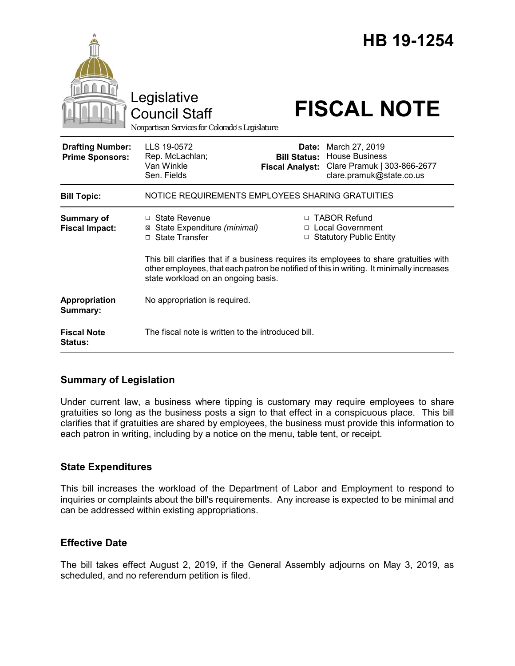|                                                   | Legislative<br><b>Council Staff</b><br>Nonpartisan Services for Colorado's Legislature                                                                                                                                    |                                                        | HB 19-1254<br><b>FISCAL NOTE</b>                                                                   |
|---------------------------------------------------|---------------------------------------------------------------------------------------------------------------------------------------------------------------------------------------------------------------------------|--------------------------------------------------------|----------------------------------------------------------------------------------------------------|
| <b>Drafting Number:</b><br><b>Prime Sponsors:</b> | LLS 19-0572<br>Rep. McLachlan;<br>Van Winkle<br>Sen. Fields                                                                                                                                                               | Date:<br><b>Bill Status:</b><br><b>Fiscal Analyst:</b> | March 27, 2019<br><b>House Business</b><br>Clare Pramuk   303-866-2677<br>clare.pramuk@state.co.us |
| <b>Bill Topic:</b>                                | NOTICE REQUIREMENTS EMPLOYEES SHARING GRATUITIES                                                                                                                                                                          |                                                        |                                                                                                    |
| <b>Summary of</b><br><b>Fiscal Impact:</b>        | $\Box$ State Revenue<br>⊠ State Expenditure (minimal)<br><b>State Transfer</b><br>$\Box$                                                                                                                                  |                                                        | □ TABOR Refund<br>□ Local Government<br><b>Statutory Public Entity</b>                             |
|                                                   | This bill clarifies that if a business requires its employees to share gratuities with<br>other employees, that each patron be notified of this in writing. It minimally increases<br>state workload on an ongoing basis. |                                                        |                                                                                                    |
| Appropriation<br>Summary:                         | No appropriation is required.                                                                                                                                                                                             |                                                        |                                                                                                    |
| <b>Fiscal Note</b><br>Status:                     | The fiscal note is written to the introduced bill.                                                                                                                                                                        |                                                        |                                                                                                    |

## **Summary of Legislation**

Under current law, a business where tipping is customary may require employees to share gratuities so long as the business posts a sign to that effect in a conspicuous place. This bill clarifies that if gratuities are shared by employees, the business must provide this information to each patron in writing, including by a notice on the menu, table tent, or receipt.

## **State Expenditures**

This bill increases the workload of the Department of Labor and Employment to respond to inquiries or complaints about the bill's requirements. Any increase is expected to be minimal and can be addressed within existing appropriations.

## **Effective Date**

The bill takes effect August 2, 2019, if the General Assembly adjourns on May 3, 2019, as scheduled, and no referendum petition is filed.